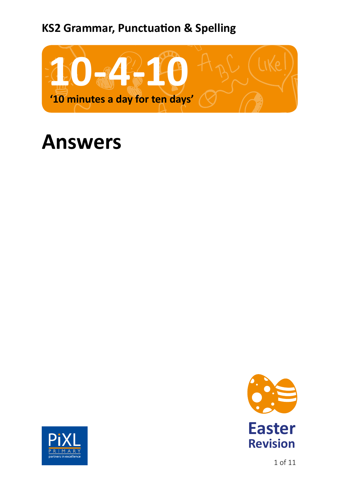# **KS2 Grammar, Punctuation & Spelling**



# **Answers**





1 of 11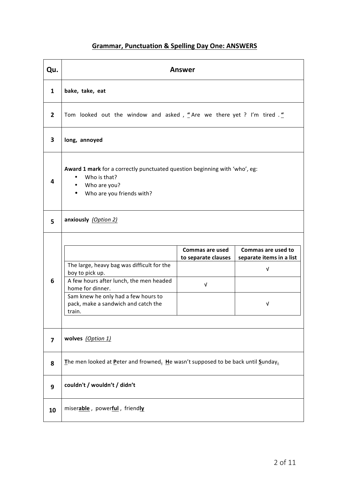#### **Grammar, Punctuation & Spelling Day One: ANSWERS**

| Qu.            | <b>Answer</b>                                                                                                                                                                                                                                                                                                                   |  |  |  |  |
|----------------|---------------------------------------------------------------------------------------------------------------------------------------------------------------------------------------------------------------------------------------------------------------------------------------------------------------------------------|--|--|--|--|
| $\mathbf{1}$   | bake, take, eat                                                                                                                                                                                                                                                                                                                 |  |  |  |  |
| $\overline{2}$ | Tom looked out the window and asked, "Are we there yet ? I'm tired ."                                                                                                                                                                                                                                                           |  |  |  |  |
| 3              | long, annoyed                                                                                                                                                                                                                                                                                                                   |  |  |  |  |
| 4              | Award 1 mark for a correctly punctuated question beginning with 'who', eg:<br>Who is that?<br>Who are you?<br>Who are you friends with?                                                                                                                                                                                         |  |  |  |  |
| 5              | anxiously (Option 2)                                                                                                                                                                                                                                                                                                            |  |  |  |  |
| 6              | Commas are used to<br>Commas are used<br>to separate clauses<br>separate items in a list<br>The large, heavy bag was difficult for the<br>ν<br>boy to pick up.<br>A few hours after lunch, the men headed<br>V<br>home for dinner.<br>Sam knew he only had a few hours to<br>pack, make a sandwich and catch the<br>v<br>train. |  |  |  |  |
| 7              | wolves (Option 1)                                                                                                                                                                                                                                                                                                               |  |  |  |  |
| 8              | The men looked at Peter and frowned. He wasn't supposed to be back until Sunday.                                                                                                                                                                                                                                                |  |  |  |  |
| 9              | couldn't / wouldn't / didn't                                                                                                                                                                                                                                                                                                    |  |  |  |  |
| 10             | miserable, powerful, friendly                                                                                                                                                                                                                                                                                                   |  |  |  |  |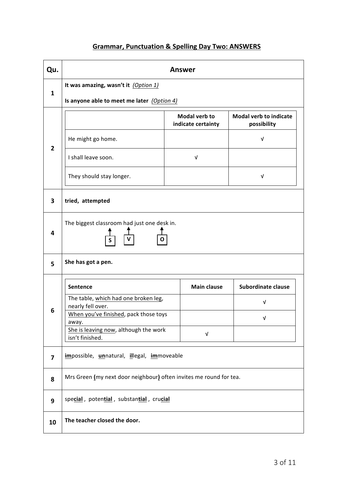# **Grammar, Punctuation & Spelling Day Two: ANSWERS**

| Qu.                     | <b>Answer</b>                                                                      |                                     |                                              |  |  |
|-------------------------|------------------------------------------------------------------------------------|-------------------------------------|----------------------------------------------|--|--|
| $\mathbf{1}$            | It was amazing, wasn't it (Option 1)<br>Is anyone able to meet me later (Option 4) |                                     |                                              |  |  |
|                         |                                                                                    |                                     |                                              |  |  |
|                         |                                                                                    | Modal verb to<br>indicate certainty | <b>Modal verb to indicate</b><br>possibility |  |  |
| $\overline{2}$          | He might go home.                                                                  |                                     | $\sqrt{ }$                                   |  |  |
|                         | I shall leave soon.                                                                | $\sqrt{ }$                          |                                              |  |  |
|                         | They should stay longer.                                                           |                                     | V                                            |  |  |
| 3                       | tried, attempted                                                                   |                                     |                                              |  |  |
| 4                       | The biggest classroom had just one desk in.<br>S                                   |                                     |                                              |  |  |
| 5                       | She has got a pen.                                                                 |                                     |                                              |  |  |
|                         | Sentence                                                                           | <b>Main clause</b>                  | <b>Subordinate clause</b>                    |  |  |
|                         | The table, which had one broken leg,<br>nearly fell over.                          |                                     | $\sqrt{ }$                                   |  |  |
| 6                       | When you've finished, pack those toys<br>away.                                     |                                     | $\sqrt{ }$                                   |  |  |
|                         | She is leaving now, although the work<br>isn't finished.                           | $\sqrt{ }$                          |                                              |  |  |
| $\overline{\mathbf{z}}$ | impossible, unnatural, illegal, immoveable                                         |                                     |                                              |  |  |
| 8                       | Mrs Green (my next door neighbour) often invites me round for tea.                 |                                     |                                              |  |  |
| 9                       | special, potential, substantial, crucial                                           |                                     |                                              |  |  |
| 10                      | The teacher closed the door.                                                       |                                     |                                              |  |  |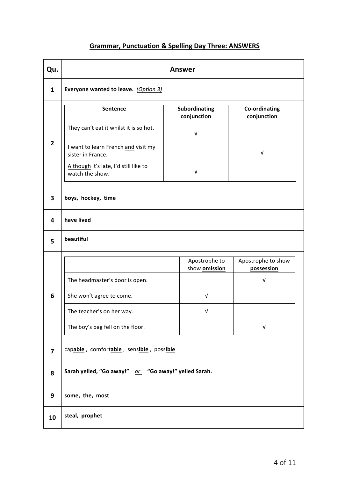#### **Grammar, Punctuation & Spelling Day Three: ANSWERS**

| Qu.                     | <b>Answer</b>                                            |                                |                                  |  |  |
|-------------------------|----------------------------------------------------------|--------------------------------|----------------------------------|--|--|
| $\mathbf{1}$            | Everyone wanted to leave. (Option 3)                     |                                |                                  |  |  |
|                         | Sentence                                                 | Subordinating<br>conjunction   | Co-ordinating<br>conjunction     |  |  |
|                         | They can't eat it whilst it is so hot.                   | $\sqrt{ }$                     |                                  |  |  |
| $\overline{\mathbf{2}}$ | I want to learn French and visit my<br>sister in France. |                                | V                                |  |  |
|                         | Although it's late, I'd still like to<br>watch the show. | $\sqrt{ }$                     |                                  |  |  |
| 3                       | boys, hockey, time                                       |                                |                                  |  |  |
| 4                       | have lived                                               |                                |                                  |  |  |
| 5                       | beautiful                                                |                                |                                  |  |  |
|                         |                                                          | Apostrophe to<br>show omission | Apostrophe to show<br>possession |  |  |
|                         | The headmaster's door is open.                           |                                | V                                |  |  |
| 6                       | She won't agree to come.                                 | $\sqrt{ }$                     |                                  |  |  |
|                         | The teacher's on her way.                                | V                              |                                  |  |  |
|                         | The boy's bag fell on the floor.                         |                                | $\sqrt{ }$                       |  |  |
| $\overline{\mathbf{z}}$ | capable, comfortable, sensible, possible                 |                                |                                  |  |  |
| 8                       | Sarah yelled, "Go away!" or "Go away!" yelled Sarah.     |                                |                                  |  |  |
| 9                       | some, the, most                                          |                                |                                  |  |  |
| 10                      | steal, prophet                                           |                                |                                  |  |  |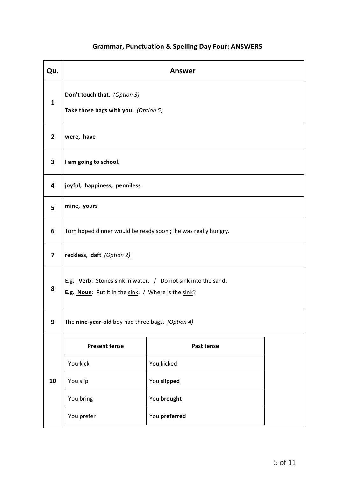# **Grammar, Punctuation & Spelling Day Four: ANSWERS**

| Qu.                     | <b>Answer</b>                                                                                                        |             |  |  |  |
|-------------------------|----------------------------------------------------------------------------------------------------------------------|-------------|--|--|--|
| $\mathbf{1}$            | Don't touch that. (Option 3)<br>Take those bags with you. (Option 5)                                                 |             |  |  |  |
| $\overline{2}$          | were, have                                                                                                           |             |  |  |  |
| 3                       | I am going to school.                                                                                                |             |  |  |  |
| 4                       | joyful, happiness, penniless                                                                                         |             |  |  |  |
| 5                       | mine, yours                                                                                                          |             |  |  |  |
| 6                       | Tom hoped dinner would be ready soon ; he was really hungry.                                                         |             |  |  |  |
| $\overline{\mathbf{z}}$ | reckless, daft (Option 2)                                                                                            |             |  |  |  |
| 8                       | E.g. Verb: Stones sink in water. / Do not sink into the sand.<br>E.g. Noun: Put it in the sink. / Where is the sink? |             |  |  |  |
| 9                       | The nine-year-old boy had three bags. (Option 4)                                                                     |             |  |  |  |
|                         | Past tense<br><b>Present tense</b>                                                                                   |             |  |  |  |
|                         | You kick                                                                                                             | You kicked  |  |  |  |
| 10                      | You slip                                                                                                             | You slipped |  |  |  |
| You bring               |                                                                                                                      | You brought |  |  |  |
|                         | You prefer<br>You preferred                                                                                          |             |  |  |  |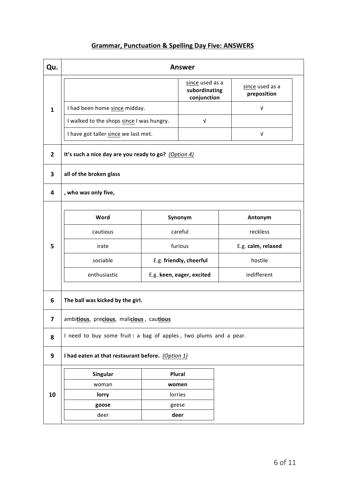#### **Grammar, Punctuation & Spelling Day Five: ANSWERS**

| Qu.                     | <b>Answer</b>                                                    |                           |                                                 |                                |  |
|-------------------------|------------------------------------------------------------------|---------------------------|-------------------------------------------------|--------------------------------|--|
|                         |                                                                  |                           | since used as a<br>subordinating<br>conjunction | since used as a<br>preposition |  |
| $\mathbf{1}$            | I had been home since midday.                                    |                           |                                                 | $\sqrt{ }$                     |  |
|                         | I walked to the shops since I was hungry.                        |                           | $\sqrt{ }$                                      |                                |  |
|                         | I have got taller since we last met.                             |                           |                                                 | $\sqrt{ }$                     |  |
| $\overline{2}$          | It's such a nice day are you ready to go? (Option 4)             |                           |                                                 |                                |  |
| 3                       | all of the broken glass                                          |                           |                                                 |                                |  |
| 4                       | , who was only five,                                             |                           |                                                 |                                |  |
|                         | Word                                                             | Synonym                   |                                                 | Antonym                        |  |
|                         | cautious                                                         | careful                   |                                                 | reckless                       |  |
| 5                       | irate                                                            | furious                   |                                                 | E.g. calm, relaxed             |  |
|                         | sociable                                                         | E.g. friendly, cheerful   |                                                 | hostile                        |  |
|                         | enthusiastic                                                     | E.g. keen, eager, excited |                                                 | indifferent                    |  |
| 6                       | The ball was kicked by the girl.                                 |                           |                                                 |                                |  |
| $\overline{\mathbf{z}}$ | ambitious, precious, malicious, cautious                         |                           |                                                 |                                |  |
| 8                       | I need to buy some fruit: a bag of apples, two plums and a pear. |                           |                                                 |                                |  |
| 9                       | I had eaten at that restaurant before. (Option 1)                |                           |                                                 |                                |  |
|                         | Singular                                                         | Plural                    |                                                 |                                |  |
|                         | woman                                                            | women                     |                                                 |                                |  |
| 10                      | lorry                                                            | lorries                   |                                                 |                                |  |
|                         | goose                                                            | geese                     |                                                 |                                |  |
|                         | deer                                                             |                           | deer                                            |                                |  |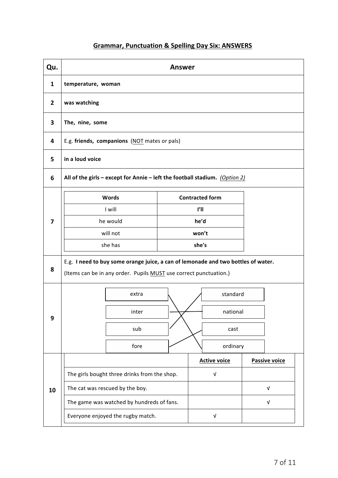#### **Grammar, Punctuation & Spelling Day Six: ANSWERS**

| Qu.            | <b>Answer</b>                                                                                                                                          |                           |                           |  |  |
|----------------|--------------------------------------------------------------------------------------------------------------------------------------------------------|---------------------------|---------------------------|--|--|
| 1              | temperature, woman                                                                                                                                     |                           |                           |  |  |
| $\overline{2}$ | was watching                                                                                                                                           |                           |                           |  |  |
| 3              | The, nine, some                                                                                                                                        |                           |                           |  |  |
| 4              | E.g. friends, companions (NOT mates or pals)                                                                                                           |                           |                           |  |  |
| 5              | in a loud voice                                                                                                                                        |                           |                           |  |  |
| 6              | All of the girls – except for Annie – left the football stadium. $(Option 2)$                                                                          |                           |                           |  |  |
|                | Words                                                                                                                                                  | <b>Contracted form</b>    |                           |  |  |
|                | I will                                                                                                                                                 | ľII                       |                           |  |  |
| 7              | he would<br>will not                                                                                                                                   | he'd<br>won't             |                           |  |  |
|                | she has                                                                                                                                                | she's                     |                           |  |  |
| 8              | E.g. I need to buy some orange juice, a can of lemonade and two bottles of water.<br>(Items can be in any order. Pupils MUST use correct punctuation.) |                           |                           |  |  |
|                | extra                                                                                                                                                  | standard                  |                           |  |  |
| 9              | inter                                                                                                                                                  | national                  |                           |  |  |
|                | sub                                                                                                                                                    | cast                      |                           |  |  |
|                | fore                                                                                                                                                   | ordinary                  |                           |  |  |
|                |                                                                                                                                                        | <b>Active voice</b>       | <b>Passive voice</b>      |  |  |
|                | The girls bought three drinks from the shop.                                                                                                           | $\ensuremath{\mathsf{V}}$ |                           |  |  |
| 10             | The cat was rescued by the boy.                                                                                                                        |                           | $\sqrt{ }$                |  |  |
|                | The game was watched by hundreds of fans.                                                                                                              |                           | $\ensuremath{\mathsf{V}}$ |  |  |
|                | Everyone enjoyed the rugby match.                                                                                                                      | V                         |                           |  |  |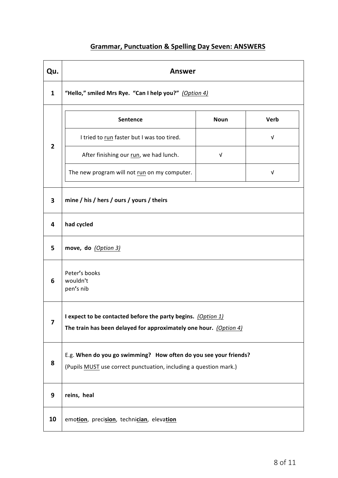#### **Grammar, Punctuation & Spelling Day Seven: ANSWERS**

| Qu.                     | <b>Answer</b>                                                                                                                         |            |            |  |  |  |
|-------------------------|---------------------------------------------------------------------------------------------------------------------------------------|------------|------------|--|--|--|
| 1                       | "Hello," smiled Mrs Rye. "Can I help you?" (Option 4)                                                                                 |            |            |  |  |  |
|                         | <b>Noun</b><br>Verb<br><b>Sentence</b>                                                                                                |            |            |  |  |  |
|                         | I tried to run faster but I was too tired.                                                                                            |            | $\sqrt{ }$ |  |  |  |
| $\overline{2}$          | After finishing our run, we had lunch.                                                                                                | $\sqrt{ }$ |            |  |  |  |
|                         | The new program will not run on my computer.<br>$\sqrt{ }$                                                                            |            |            |  |  |  |
| 3                       | mine / his / hers / ours / yours / theirs                                                                                             |            |            |  |  |  |
| 4                       | had cycled                                                                                                                            |            |            |  |  |  |
| 5                       | move, do (Option 3)                                                                                                                   |            |            |  |  |  |
| 6                       | Peter's books<br>wouldn't<br>pen's nib                                                                                                |            |            |  |  |  |
| $\overline{\mathbf{z}}$ | I expect to be contacted before the party begins. (Option 1)<br>The train has been delayed for approximately one hour. (Option 4)     |            |            |  |  |  |
| 8                       | E.g. When do you go swimming? How often do you see your friends?<br>(Pupils MUST use correct punctuation, including a question mark.) |            |            |  |  |  |
| 9                       | reins, heal                                                                                                                           |            |            |  |  |  |
| 10                      | emotion, precision, technician, elevation                                                                                             |            |            |  |  |  |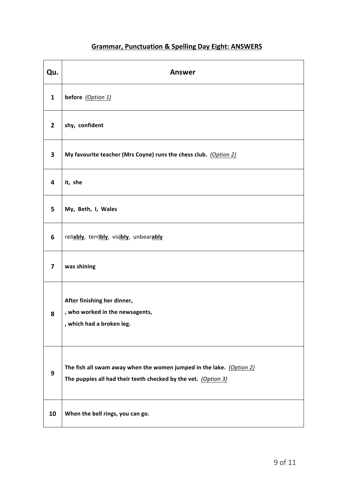#### **Grammar, Punctuation & Spelling Day Eight: ANSWERS**

| Qu.            | <b>Answer</b>                                                                                                                          |
|----------------|----------------------------------------------------------------------------------------------------------------------------------------|
| $\mathbf{1}$   | before (Option 1)                                                                                                                      |
| $\overline{2}$ | shy, confident                                                                                                                         |
| 3              | My favourite teacher (Mrs Coyne) runs the chess club. (Option 2)                                                                       |
| 4              | it, she                                                                                                                                |
| 5              | My, Beth, I, Wales                                                                                                                     |
| 6              | reliably, terribly, visibly, unbearably                                                                                                |
| 7              | was shining                                                                                                                            |
| 8              | After finishing her dinner,<br>, who worked in the newsagents,<br>, which had a broken leg.                                            |
| 9              | The fish all swam away when the women jumped in the lake. (Option 2)<br>The puppies all had their teeth checked by the vet. (Option 3) |
| 10             | When the bell rings, you can go.                                                                                                       |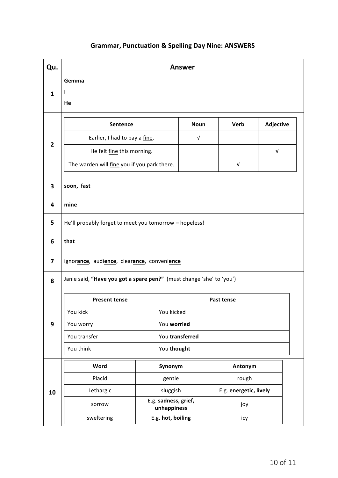#### **Grammar, Punctuation & Spelling Day Nine: ANSWERS**

| Qu.                     | <b>Answer</b>                                                        |                                     |                 |  |                        |                  |  |
|-------------------------|----------------------------------------------------------------------|-------------------------------------|-----------------|--|------------------------|------------------|--|
|                         | Gemma                                                                |                                     |                 |  |                        |                  |  |
| $\mathbf{1}$            | ı                                                                    |                                     |                 |  |                        |                  |  |
|                         | He                                                                   |                                     |                 |  |                        |                  |  |
| <b>Noun</b><br>Sentence |                                                                      |                                     |                 |  | Verb                   | <b>Adjective</b> |  |
|                         | Earlier, I had to pay a fine.                                        |                                     | $\sqrt{ }$      |  |                        |                  |  |
| $\overline{2}$          | He felt fine this morning.                                           |                                     |                 |  |                        | $\sqrt{ }$       |  |
|                         | The warden will fine you if you park there.                          |                                     |                 |  | $\sqrt{ }$             |                  |  |
| 3                       | soon, fast                                                           |                                     |                 |  |                        |                  |  |
| 4                       | mine                                                                 |                                     |                 |  |                        |                  |  |
| 5                       | He'll probably forget to meet you tomorrow - hopeless!               |                                     |                 |  |                        |                  |  |
| 6                       | that                                                                 |                                     |                 |  |                        |                  |  |
| 7                       | ignorance, audience, clearance, convenience                          |                                     |                 |  |                        |                  |  |
| 8                       | Janie said, "Have you got a spare pen?" (must change 'she' to 'you') |                                     |                 |  |                        |                  |  |
|                         | <b>Present tense</b>                                                 |                                     |                 |  | Past tense             |                  |  |
|                         | You kick                                                             |                                     | You kicked      |  |                        |                  |  |
| 9                       | You worry                                                            |                                     | You worried     |  |                        |                  |  |
|                         | You transfer                                                         |                                     | You transferred |  |                        |                  |  |
|                         | You think                                                            |                                     | You thought     |  |                        |                  |  |
|                         | Word                                                                 |                                     | Synonym         |  |                        | Antonym          |  |
|                         | Placid                                                               | gentle                              |                 |  | rough                  |                  |  |
| 10                      | Lethargic                                                            | sluggish                            |                 |  | E.g. energetic, lively |                  |  |
|                         | sorrow                                                               | E.g. sadness, grief,<br>unhappiness |                 |  | joy                    |                  |  |
|                         | sweltering                                                           | E.g. hot, boiling                   |                 |  | ісу                    |                  |  |